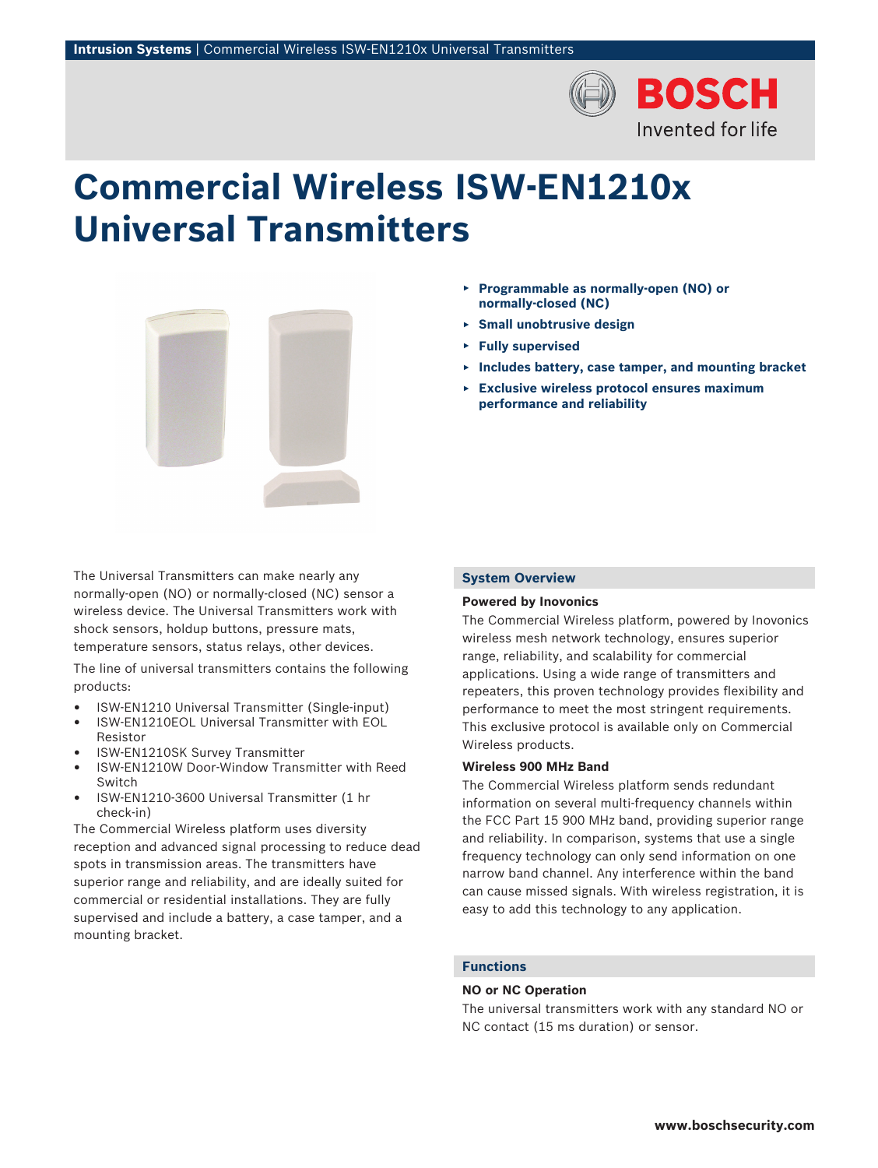

# **Commercial Wireless ISW‑EN1210x Universal Transmitters**



The Universal Transmitters can make nearly any normally‑open (NO) or normally‑closed (NC) sensor a wireless device. The Universal Transmitters work with shock sensors, holdup buttons, pressure mats, temperature sensors, status relays, other devices.

The line of universal transmitters contains the following products:

- ISW-EN1210 Universal Transmitter (Single‑input)
- ISW‑EN1210EOL Universal Transmitter with EOL
- Resistor • ISW-EN1210SK Survey Transmitter
- ISW‑EN1210W Door‑Window Transmitter with Reed Switch
- ISW‑EN1210‑3600 Universal Transmitter (1 hr check‑in)

The Commercial Wireless platform uses diversity reception and advanced signal processing to reduce dead spots in transmission areas. The transmitters have superior range and reliability, and are ideally suited for commercial or residential installations. They are fully supervised and include a battery, a case tamper, and a mounting bracket.

- ▶ **Programmable as normally‑open (NO) or normally‑closed (NC)**
- ▶ **Small unobtrusive design**
- ▶ **Fully supervised**
- ▶ **Includes battery, case tamper, and mounting bracket**
- ▶ **Exclusive wireless protocol ensures maximum performance and reliability**

# **System Overview**

# **Powered by Inovonics**

The Commercial Wireless platform, powered by Inovonics wireless mesh network technology, ensures superior range, reliability, and scalability for commercial applications. Using a wide range of transmitters and repeaters, this proven technology provides flexibility and performance to meet the most stringent requirements. This exclusive protocol is available only on Commercial Wireless products.

# **Wireless 900 MHz Band**

The Commercial Wireless platform sends redundant information on several multi-frequency channels within the FCC Part 15 900 MHz band, providing superior range and reliability. In comparison, systems that use a single frequency technology can only send information on one narrow band channel. Any interference within the band can cause missed signals. With wireless registration, it is easy to add this technology to any application.

# **Functions**

### **NO or NC Operation**

The universal transmitters work with any standard NO or NC contact (15 ms duration) or sensor.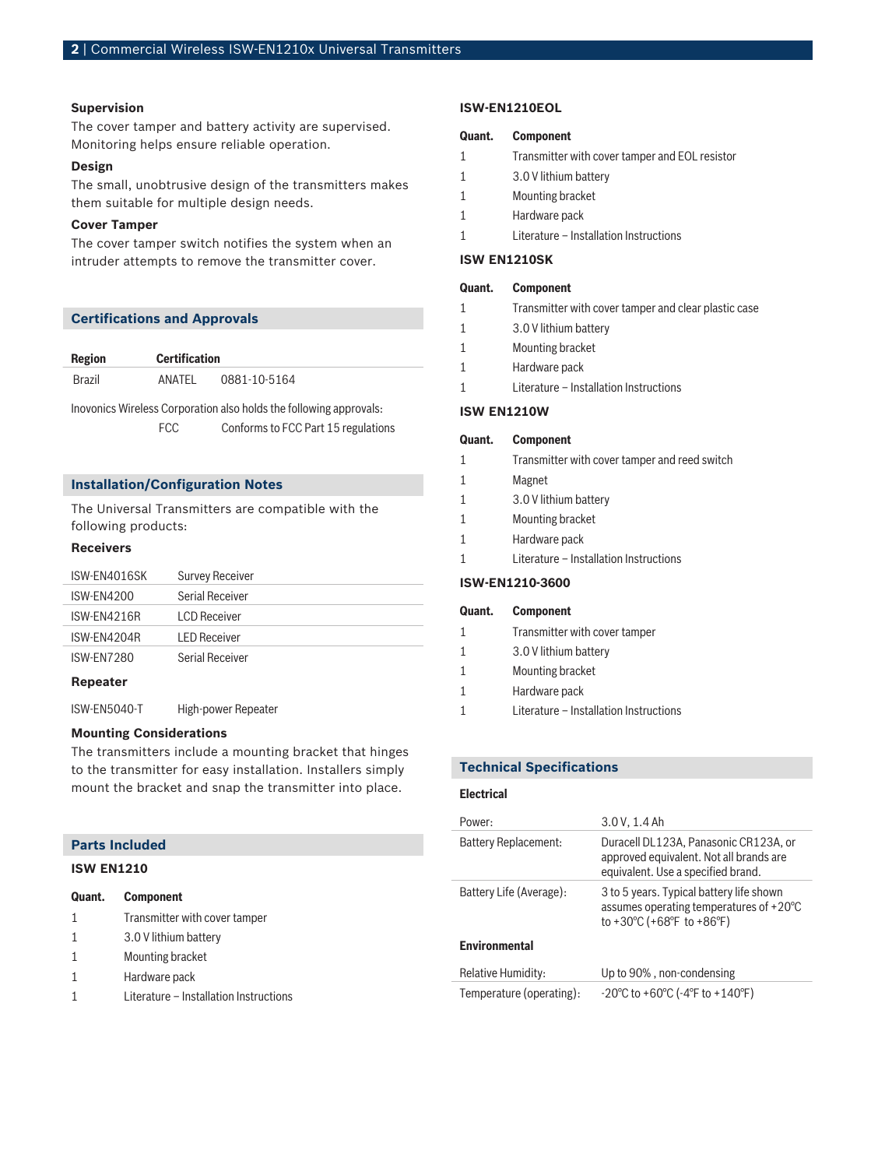#### **Supervision**

The cover tamper and battery activity are supervised. Monitoring helps ensure reliable operation.

#### **Design**

The small, unobtrusive design of the transmitters makes them suitable for multiple design needs.

## **Cover Tamper**

The cover tamper switch notifies the system when an intruder attempts to remove the transmitter cover.

# **Certifications and Approvals**

| Region | <b>Certification</b> |              |
|--------|----------------------|--------------|
| Brazil | ANATFI               | 0881-10-5164 |

Inovonics Wireless Corporation also holds the following approvals:

FCC Conforms to FCC Part 15 regulations

# **Installation/Configuration Notes**

The Universal Transmitters are compatible with the following products:

## **Receivers**

| ISW-EN4016SK      | <b>Survey Receiver</b> |
|-------------------|------------------------|
| ISW-FN4200        | Serial Receiver        |
| ISW-FN4216R       | LCD Receiver           |
| ISW-FN4204R       | <b>I FD Receiver</b>   |
| <b>ISW-FN7280</b> | Serial Receiver        |
| Repeater          |                        |

ISW‑EN5040‑T High‑power Repeater

# **Mounting Considerations**

The transmitters include a mounting bracket that hinges to the transmitter for easy installation. Installers simply mount the bracket and snap the transmitter into place.

| <b>Parts Included</b> |  |  |  |
|-----------------------|--|--|--|
|-----------------------|--|--|--|

# **ISW EN1210**

| Quant. | <b>Component</b>              |  |
|--------|-------------------------------|--|
| 1      | Transmitter with cover tamper |  |
| 1      | 3.0 V lithium battery         |  |
| 1      | Mounting bracket              |  |
|        | Hardware pack                 |  |

1 Literature – Installation Instructions

#### **ISW-EN1210EOL**

# **Quant. Component**

- 1 Transmitter with cover tamper and EOL resistor
- 1 3.0 V lithium battery
- 1 Mounting bracket
- 1 Hardware pack
- 1 Literature Installation Instructions

## **ISW EN1210SK**

| Quant. | <b>Component</b> |
|--------|------------------|
|--------|------------------|

- 1 Transmitter with cover tamper and clear plastic case
- 1 3.0 V lithium battery
- 1 Mounting bracket
- 1 Hardware pack
- 1 Literature Installation Instructions

#### **ISW EN1210W**

#### **Quant. Component**

- 1 Transmitter with cover tamper and reed switch
- 1 Magnet 1 3.0 V lithium battery 1 Mounting bracket 1 Hardware pack 1 Literature – Installation Instructions

#### **ISW‑EN1210‑3600**

| Quant. | <b>Component</b>              |
|--------|-------------------------------|
|        | Transmitter with cover tamper |
|        | 3.0 V lithium battery         |
|        | Mounting bracket              |
|        | Hardware pack                 |
|        |                               |

1 Literature – Installation Instructions

# **Technical Specifications**

#### **Electrical**

| Power:                      | 3.0 V, 1.4 Ah                                                                                                                                               |
|-----------------------------|-------------------------------------------------------------------------------------------------------------------------------------------------------------|
| <b>Battery Replacement:</b> | Duracell DL123A, Panasonic CR123A, or<br>approved equivalent. Not all brands are<br>equivalent. Use a specified brand.                                      |
| Battery Life (Average):     | 3 to 5 years. Typical battery life shown<br>assumes operating temperatures of $+20^{\circ}$ C<br>to +30 $^{\circ}$ C (+68 $^{\circ}$ F to +86 $^{\circ}$ F) |
| <b>Environmental</b>        |                                                                                                                                                             |
| Relative Humidity:          | Up to 90%, non-condensing                                                                                                                                   |
| Temperature (operating):    | $-20^{\circ}$ C to +60 $^{\circ}$ C ( $-4^{\circ}$ F to +140 $^{\circ}$ F)                                                                                  |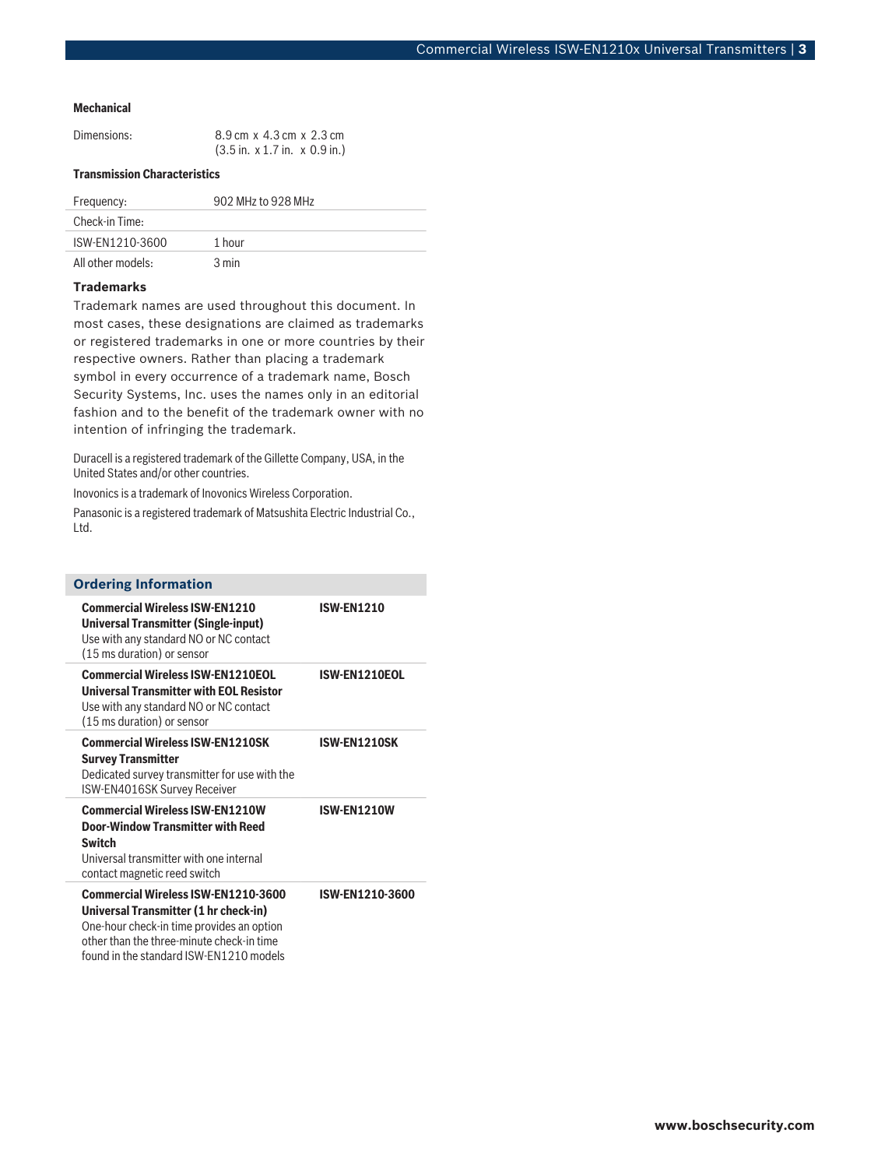#### **Mechanical**

| Dimensions: | 8.9 cm x 4.3 cm x 2.3 cm                                  |
|-------------|-----------------------------------------------------------|
|             | $(3.5 \text{ in. x } 1.7 \text{ in. x } 0.9 \text{ in.})$ |

# **Transmission Characteristics**

| Frequency:        | 902 MHz to 928 MHz |
|-------------------|--------------------|
| Check-in Time:    |                    |
| ISW-FN1210-3600   | 1 hour             |
| All other models: | $3 \text{ min}$    |

# **Trademarks**

Trademark names are used throughout this document. In most cases, these designations are claimed as trademarks or registered trademarks in one or more countries by their respective owners. Rather than placing a trademark symbol in every occurrence of a trademark name, Bosch Security Systems, Inc. uses the names only in an editorial fashion and to the benefit of the trademark owner with no intention of infringing the trademark.

Duracell is a registered trademark of the Gillette Company, USA, in the United States and/or other countries.

Inovonics is a trademark of Inovonics Wireless Corporation.

Panasonic is a registered trademark of Matsushita Electric Industrial Co., Ltd.

| <b>Ordering Information</b>                                                                                                                                                                                              |                   |
|--------------------------------------------------------------------------------------------------------------------------------------------------------------------------------------------------------------------------|-------------------|
| <b>Commercial Wireless ISW-EN1210</b><br>Universal Transmitter (Single-input)<br>Use with any standard NO or NC contact<br>(15 ms duration) or sensor                                                                    | <b>ISW-EN1210</b> |
| <b>Commercial Wireless ISW-EN1210EOL</b><br><b>Universal Transmitter with EOL Resistor</b><br>Use with any standard NO or NC contact<br>(15 ms duration) or sensor                                                       | ISW-EN1210EOL     |
| <b>Commercial Wireless ISW-FN1210SK</b><br><b>Survey Transmitter</b><br>Dedicated survey transmitter for use with the<br>ISW-EN4016SK Survey Receiver                                                                    | ISW-EN1210SK      |
| <b>Commercial Wireless ISW-EN1210W</b><br>Door-Window Transmitter with Reed<br><b>Switch</b><br>Universal transmitter with one internal<br>contact magnetic reed switch                                                  | ISW-EN1210W       |
| <b>Commercial Wireless ISW-EN1210-3600</b><br>Universal Transmitter (1 hr check-in)<br>One-hour check-in time provides an option<br>other than the three-minute check-in time<br>found in the standard ISW-EN1210 models | ISW-EN1210-3600   |